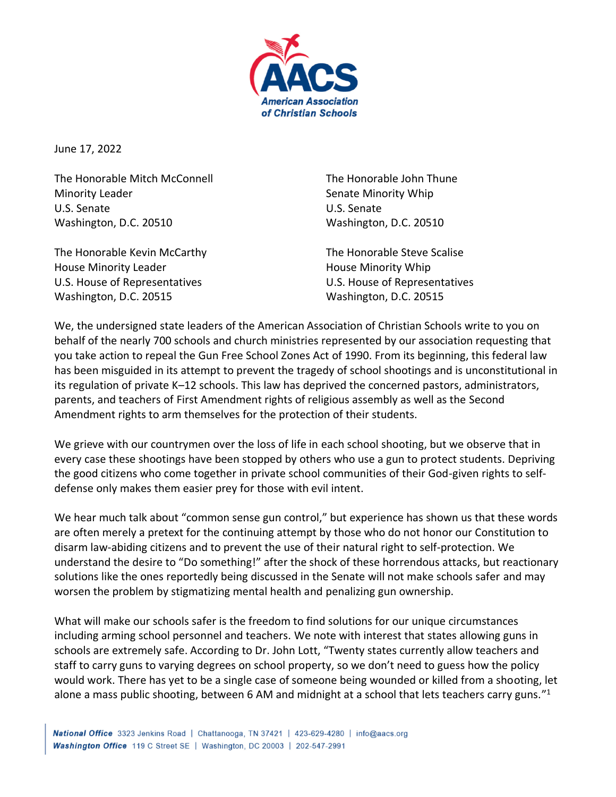

June 17, 2022

The Honorable Mitch McConnell Minority Leader U.S. Senate Washington, D.C. 20510

The Honorable Kevin McCarthy House Minority Leader U.S. House of Representatives Washington, D.C. 20515

The Honorable John Thune Senate Minority Whip U.S. Senate Washington, D.C. 20510

The Honorable Steve Scalise House Minority Whip U.S. House of Representatives Washington, D.C. 20515

We, the undersigned state leaders of the American Association of Christian Schools write to you on behalf of the nearly 700 schools and church ministries represented by our association requesting that you take action to repeal the Gun Free School Zones Act of 1990. From its beginning, this federal law has been misguided in its attempt to prevent the tragedy of school shootings and is unconstitutional in its regulation of private K–12 schools. This law has deprived the concerned pastors, administrators, parents, and teachers of First Amendment rights of religious assembly as well as the Second Amendment rights to arm themselves for the protection of their students.

We grieve with our countrymen over the loss of life in each school shooting, but we observe that in every case these shootings have been stopped by others who use a gun to protect students. Depriving the good citizens who come together in private school communities of their God-given rights to selfdefense only makes them easier prey for those with evil intent.

We hear much talk about "common sense gun control," but experience has shown us that these words are often merely a pretext for the continuing attempt by those who do not honor our Constitution to disarm law-abiding citizens and to prevent the use of their natural right to self-protection. We understand the desire to "Do something!" after the shock of these horrendous attacks, but reactionary solutions like the ones reportedly being discussed in the Senate will not make schools safer and may worsen the problem by stigmatizing mental health and penalizing gun ownership.

What will make our schools safer is the freedom to find solutions for our unique circumstances including arming school personnel and teachers. We note with interest that states allowing guns in schools are extremely safe. According to Dr. John Lott, "Twenty states currently allow teachers and staff to carry guns to varying degrees on school property, so we don't need to guess how the policy would work. There has yet to be a single case of someone being wounded or killed from a shooting, let alone a mass public shooting, between 6 AM and midnight at a school that lets teachers carry guns."<sup>1</sup>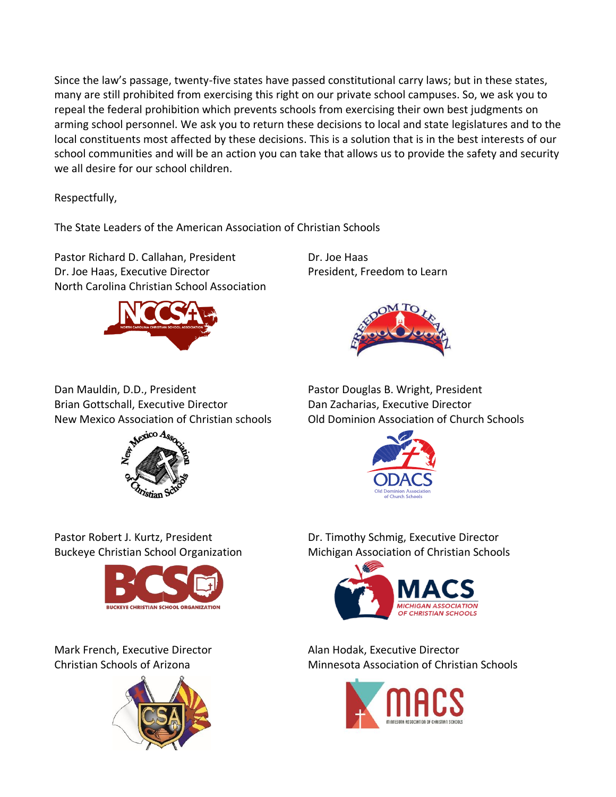Since the law's passage, twenty-five states have passed constitutional carry laws; but in these states, many are still prohibited from exercising this right on our private school campuses. So, we ask you to repeal the federal prohibition which prevents schools from exercising their own best judgments on arming school personnel. We ask you to return these decisions to local and state legislatures and to the local constituents most affected by these decisions. This is a solution that is in the best interests of our school communities and will be an action you can take that allows us to provide the safety and security we all desire for our school children.

Respectfully,

The State Leaders of the American Association of Christian Schools

Pastor Richard D. Callahan, President Dr. Joe Haas Dr. Joe Haas, Executive Director President, Freedom to Learn North Carolina Christian School Association





Dan Mauldin, D.D., President **Pastor Douglas B. Wright, President** Brian Gottschall, Executive Director Dan Zacharias, Executive Director



New Mexico Association of Christian schools Old Dominion Association of Church Schools





Mark French, Executive Director **Alan Hodak, Executive Director** 



Pastor Robert J. Kurtz, President **Dr. Timothy Schmig, Executive Director** Buckeye Christian School Organization Michigan Association of Christian Schools



Christian Schools of Arizona Minnesota Association of Christian Schools

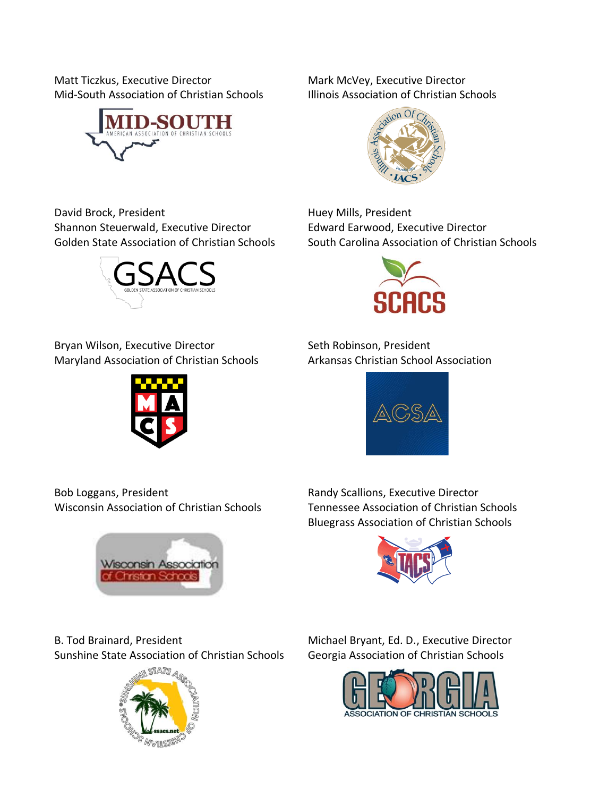Matt Ticzkus, Executive Director Mark McVey, Executive Director Mid-South Association of Christian Schools Illinois Association of Christian Schools





David Brock, President **Huey Mills**, President Shannon Steuerwald, Executive Director **Edward Earwood, Executive Director** Golden State Association of Christian Schools South Carolina Association of Christian Schools



Bryan Wilson, Executive Director Seth Robinson, President Maryland Association of Christian Schools Arkansas Christian School Association





Bob Loggans, President **Randy Scallions**, Executive Director

**Wisconsin Association** Christian Schoo

Wisconsin Association of Christian Schools Tennessee Association of Christian Schools Bluegrass Association of Christian Schools



B. Tod Brainard, President Michael Bryant, Ed. D., Executive Director

Sunshine State Association of Christian Schools Georgia Association of Christian Schools